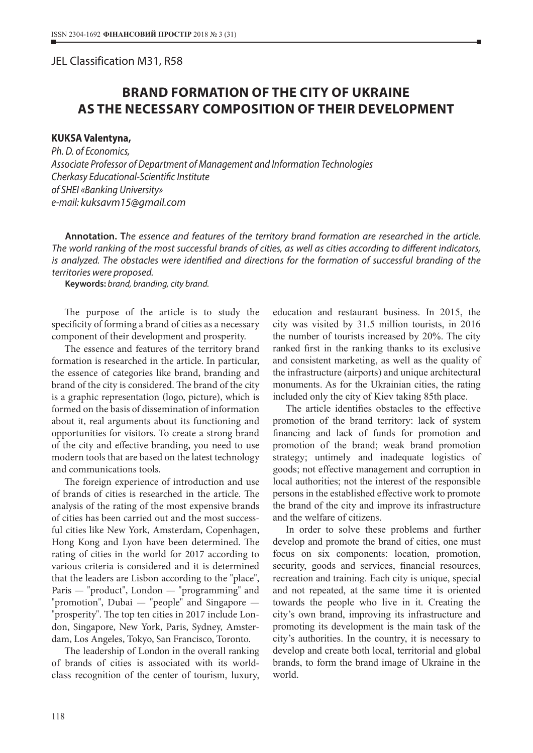## JEL Classіfіcatіon M31, R58

## **BRAND FORMATION OF THE CITY OF UKRAINE AS THE NECESSARY COMPOSITION OF THEIR DEVELOPMENT**

## **KUKSA Valentyna,**

*Ph. D. of Economics, Associate Professor of Department of Management and Information Technologies Cherkasy Educational-Scientific Institute of SHEI «Banking University» e-mail: kuksavm15@gmail.com*

**Annotation. T***he essence and features of the territory brand formation are researched in the article. The world ranking of the most successful brands of cities, as well as cities according to different indicators, is analyzed. The obstacles were identified and directions for the formation of successful branding of the territories were proposed.*

**Keywords:** *brand, branding, city brand.*

The purpose of the article is to study the specificity of forming a brand of cities as a necessary component of their development and prosperity.

The essence and features of the territory brand formation is researched in the article. In particular, the essence of categories like brand, branding and brand of the city is considered. The brand of the city is a graphic representation (logo, picture), which is formed on the basis of dissemination of information about it, real arguments about its functioning and opportunities for visitors. To create a strong brand of the city and effective branding, you need to use modern tools that are based on the latest technology and communications tools.

The foreign experience of introduction and use of brands of cities is researched in the article. The analysis of the rating of the most expensive brands of cities has been carried out and the most successful cities like New York, Amsterdam, Copenhagen, Hong Kong and Lyon have been determined. The rating of cities in the world for 2017 according to various criteria is considered and it is determined that the leaders are Lisbon according to the "place", Paris — "product", London — "programming" and "promotion", Dubai — "people" and Singapore — "prosperity". The top ten cities in 2017 include London, Singapore, New York, Paris, Sydney, Amsterdam, Los Angeles, Tokyo, San Francisco, Toronto.

The leadership of London in the overall ranking of brands of cities is associated with its worldclass recognition of the center of tourism, luxury, education and restaurant business. In 2015, the city was visited by 31.5 million tourists, in 2016 the number of tourists increased by 20%. The city ranked first in the ranking thanks to its exclusive and consistent marketing, as well as the quality of the infrastructure (airports) and unique architectural monuments. As for the Ukrainian cities, the rating included only the city of Kiev taking 85th place.

The article identifies obstacles to the effective promotion of the brand territory: lack of system financing and lack of funds for promotion and promotion of the brand; weak brand promotion strategy; untimely and inadequate logistics of goods; not effective management and corruption in local authorities; not the interest of the responsible persons in the established effective work to promote the brand of the city and improve its infrastructure and the welfare of citizens.

In order to solve these problems and further develop and promote the brand of cities, one must focus on six components: location, promotion, security, goods and services, financial resources, recreation and training. Each city is unique, special and not repeated, at the same time it is oriented towards the people who live in it. Creating the city's own brand, improving its infrastructure and promoting its development is the main task of the city's authorities. In the country, it is necessary to develop and create both local, territorial and global brands, to form the brand image of Ukraine in the world.